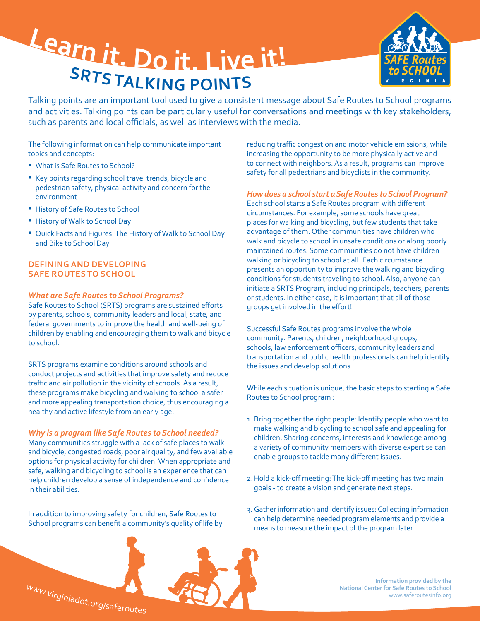# **<sup>L</sup>ear<sup>n</sup> <sup>i</sup>t. <sup>D</sup><sup>o</sup> <sup>i</sup>t. <sup>L</sup>iv<sup>e</sup> <sup>i</sup>t! <sup>S</sup>RT<sup>S</sup> <sup>T</sup>ALKIN<sup>G</sup> <sup>P</sup>OINT<sup>S</sup>**



Talking points are an important tool used to give a consistent message about Safe Routes to School programs and activities. Talking points can be particularly useful for conversations and meetings with key stakeholders, such as parents and local officials, as well as interviews with the media.

The following information can help communicate important topics and concepts:

- What is Safe Routes to School?
- Key points regarding school travel trends, bicycle and pedestrian safety, physical activity and concern for the environment
- **History of Safe Routes to School**
- **History of Walk to School Day**
- � Quick Facts and Figures: The History of Walk to School Day and Bike to School Day

#### **DEFINING AND DEVELOPING SAFE ROUTES TO SCHOOL**

#### *What are Safe Routes to School Programs?*

Safe Routes to School (SRTS) programs are sustained efforts by parents, schools, community leaders and local, state, and federal governments to improve the health and well-being of children by enabling and encouraging them to walk and bicycle to school.

SRTS programs examine conditions around schools and conduct projects and activities that improve safety and reduce traffic and air pollution in the vicinity of schools. As a result, these programs make bicycling and walking to school a safer and more appealing transportation choice, thus encouraging a healthy and active lifestyle from an early age.

*Why is a program like Safe Routes to School needed?*  Many communities struggle with a lack of safe places to walk and bicycle, congested roads, poor air quality, and few available options for physical activity for children. When appropriate and safe, walking and bicycling to school is an experience that can help children develop a sense of independence and confidence in their abilities.

In addition to improving safety for children, Safe Routes to School programs can benefit a community's quality of life by reducing traffic congestion and motor vehicle emissions, while increasing the opportunity to be more physically active and to connect with neighbors. As a result, programs can improve safety for all pedestrians and bicyclists in the community.

#### *How does a school start a Safe Routes to School Program?*

Each school starts a Safe Routes program with different circumstances. For example, some schools have great places for walking and bicycling, but few students that take advantage of them. Other communities have children who walk and bicycle to school in unsafe conditions or along poorly maintained routes. Some communities do not have children walking or bicycling to school at all. Each circumstance presents an opportunity to improve the walking and bicycling conditions for students traveling to school. Also, anyone can initiate a SRTS Program, including principals, teachers, parents or students. In either case, it is important that all of those groups get involved in the effort!

Successful Safe Routes programs involve the whole community. Parents, children, neighborhood groups, schools, law enforcement officers, community leaders and transportation and public health professionals can help identify the issues and develop solutions.

While each situation is unique, the basic steps to starting a Safe Routes to School program :

- 1. Bring together the right people: Identify people who want to make walking and bicycling to school safe and appealing for children. Sharing concerns, interests and knowledge among a variety of community members with diverse expertise can enable groups to tackle many different issues.
- 2.Hold a kick-off meeting: The kick-off meeting has two main goals - to create a vision and generate next steps.
- 3. Gather information and identify issues: Collecting information can help determine needed program elements and provide a means to measure the impact of the program later.





**Information provided by the National Center for Safe Routes to School**  www.saferoutesinfo.org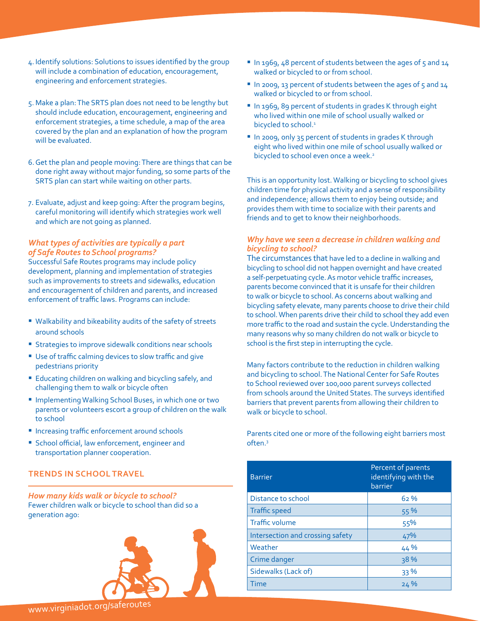- 4. Identify solutions: Solutions to issues identified by the group will include a combination of education, encouragement, engineering and enforcement strategies.
- 5. Make a plan: The SRTS plan does not need to be lengthy but should include education, encouragement, engineering and enforcement strategies, a time schedule, a map of the area covered by the plan and an explanation of how the program will be evaluated.
- 6.Get the plan and people moving: There are things that can be done right away without major funding, so some parts of the SRTS plan can start while waiting on other parts.
- 7. Evaluate, adjust and keep going: After the program begins, careful monitoring will identify which strategies work well and which are not going as planned.

#### *What types of activities are typically a part of Safe Routes to School programs?*

Successful Safe Routes programs may include policy development, planning and implementation of strategies such as improvements to streets and sidewalks, education and encouragement of children and parents, and increased enforcement of traffic laws. Programs can include:

- Walkability and bikeability audits of the safety of streets around schools
- **Strategies to improve sidewalk conditions near schools**
- � Use of traffic calming devices to slow traffic and give pedestrians priority
- Educating children on walking and bicycling safely, and challenging them to walk or bicycle often
- � Implementing Walking School Buses, in which one or two parents or volunteers escort a group of children on the walk to school
- *Increasing traffic enforcement around schools*
- **Exercise School official, law enforcement, engineer and** transportation planner cooperation.

#### **TRENDS IN SCHOOL TRAVEL**

*How many kids walk or bicycle to school?*  Fewer children walk or bicycle to school than did so a generation ago:



- In 1969, 48 percent of students between the ages of 5 and 14 walked or bicycled to or from school.
- In 2009, 13 percent of students between the ages of 5 and 14 walked or bicycled to or from school.
- In 1969, 89 percent of students in grades K through eight who lived within one mile of school usually walked or bicycled to school.<sup>1</sup>
- In 2009, only 35 percent of students in grades K through eight who lived within one mile of school usually walked or bicycled to school even once a week.<sup>2</sup>

This is an opportunity lost. Walking or bicycling to school gives children time for physical activity and a sense of responsibility and independence; allows them to enjoy being outside; and provides them with time to socialize with their parents and friends and to get to know their neighborhoods.

#### *Why have we seen a decrease in children walking and bicycling to school?*

The circumstances that have led to a decline in walking and bicycling to school did not happen overnight and have created a self-perpetuating cycle. As motor vehicle traffic increases, parents become convinced that it is unsafe for their children to walk or bicycle to school. As concerns about walking and bicycling safety elevate, many parents choose to drive their child to school. When parents drive their child to school they add even more traffic to the road and sustain the cycle. Understanding the many reasons why so many children do not walk or bicycle to school is the first step in interrupting the cycle.

Many factors contribute to the reduction in children walking and bicycling to school. The National Center for Safe Routes to School reviewed over 100,000 parent surveys collected from schools around the United States. The surveys identified barriers that prevent parents from allowing their children to walk or bicycle to school.

Parents cited one or more of the following eight barriers most often.3

| <b>Barrier</b>                   | Percent of parents<br>identifying with the<br>barrier |
|----------------------------------|-------------------------------------------------------|
| Distance to school               | 62%                                                   |
| <b>Traffic speed</b>             | 55 %                                                  |
| <b>Traffic volume</b>            | 55%                                                   |
| Intersection and crossing safety | 47%                                                   |
| Weather                          | 44 %                                                  |
| Crime danger                     | 38%                                                   |
| Sidewalks (Lack of)              | 33 %                                                  |
| Time                             | 24%                                                   |

# <sup>w</sup>ww.virginiadot.o<sup>r</sup>g/saferoute<sup>s</sup>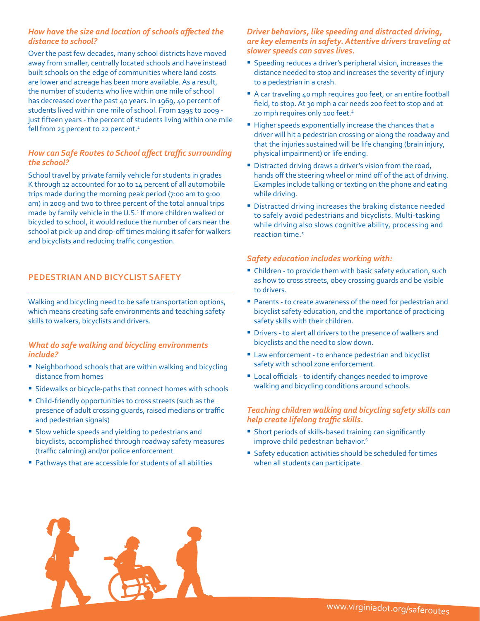## *How have the size and location of schools affected the distance to school?*

Over the past few decades, many school districts have moved away from smaller, centrally located schools and have instead built schools on the edge of communities where land costs are lower and acreage has been more available. As a result, the number of students who live within one mile of school has decreased over the past 40 years. In 1969, 40 percent of students lived within one mile of school. From 1995 to 2009 just fifteen years - the percent of students living within one mile fell from 25 percent to 22 percent.<sup>2</sup>

# *How can Safe Routes to School affect traffic surrounding the school?*

School travel by private family vehicle for students in grades K through 12 accounted for 10 to 14 percent of all automobile trips made during the morning peak period (7:00 am to 9:00 am) in 2009 and two to three percent of the total annual trips made by family vehicle in the U.S.<sup>1</sup> If more children walked or bicycled to school, it would reduce the number of cars near the school at pick-up and drop-off times making it safer for walkers and bicyclists and reducing traffic congestion.

# **PEDESTRIAN AND BICYCLIST SAFETY**

Walking and bicycling need to be safe transportation options, which means creating safe environments and teaching safety skills to walkers, bicyclists and drivers.

#### *What do safe walking and bicycling environments include?*

- Neighborhood schools that are within walking and bicycling distance from homes
- **Sidewalks or bicycle-paths that connect homes with schools**
- � Child-friendly opportunities to cross streets (such as the presence of adult crossing guards, raised medians or traffic and pedestrian signals)
- **Slow vehicle speeds and yielding to pedestrians and** bicyclists, accomplished through roadway safety measures (traffic calming) and/or police enforcement
- Pathways that are accessible for students of all abilities

## *Driver behaviors, like speeding and distracted driving, are key elements in safety. Attentive drivers traveling at slower speeds can saves lives.*

- Speeding reduces a driver's peripheral vision, increases the distance needed to stop and increases the severity of injury to a pedestrian in a crash.
- A car traveling 40 mph requires 300 feet, or an entire football field, to stop. At 30 mph a car needs 200 feet to stop and at 20 mph requires only 100 feet.4
- � Higher speeds exponentially increase the chances that a driver will hit a pedestrian crossing or along the roadway and that the injuries sustained will be life changing (brain injury, physical impairment) or life ending.
- Distracted driving draws a driver's vision from the road, hands off the steering wheel or mind off of the act of driving. Examples include talking or texting on the phone and eating while driving.
- � Distracted driving increases the braking distance needed to safely avoid pedestrians and bicyclists. Multi-tasking while driving also slows cognitive ability, processing and reaction time.5

# *Safety education includes working with:*

- Children to provide them with basic safety education, such as how to cross streets, obey crossing guards and be visible to drivers.
- Parents to create awareness of the need for pedestrian and bicyclist safety education, and the importance of practicing safety skills with their children.
- � Drivers to alert all drivers to the presence of walkers and bicyclists and the need to slow down.
- **Law enforcement to enhance pedestrian and bicyclist** safety with school zone enforcement.
- Local officials to identify changes needed to improve walking and bicycling conditions around schools.

## *Teaching children walking and bicycling safety skills can help create lifelong traffic skills.*

- **B** Short periods of skills-based training can significantly improve child pedestrian behavior.<sup>6</sup>
- Safety education activities should be scheduled for times when all students can participate.

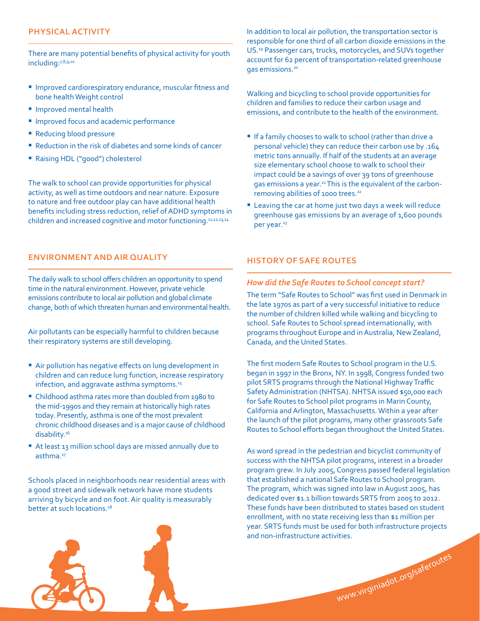#### **PHYSICAL ACTIVITY**

There are many potential benefits of physical activity for youth including:7,8,9,10

- **Improved cardiorespiratory endurance, muscular fitness and** bone health Weight control
- **Improved mental health**
- **Improved focus and academic performance**
- Reducing blood pressure
- Reduction in the risk of diabetes and some kinds of cancer
- � Raising HDL ("good") cholesterol

The walk to school can provide opportunities for physical activity, as well as time outdoors and near nature. Exposure to nature and free outdoor play can have additional health benefits including stress reduction, relief of ADHD symptoms in children and increased cognitive and motor functioning.11,12,13,14

## **ENVIRONMENT AND AIR QUALITY**

The daily walk to school offers children an opportunity to spend time in the natural environment. However, private vehicle emissions contribute to local air pollution and global climate change, both of which threaten human and environmental health.

Air pollutants can be especially harmful to children because their respiratory systems are still developing.

- Air pollution has negative effects on lung development in children and can reduce lung function, increase respiratory infection, and aggravate asthma symptoms.<sup>15</sup>
- � Childhood asthma rates more than doubled from 1980 to the mid-1990s and they remain at historically high rates today. Presently, asthma is one of the most prevalent chronic childhood diseases and is a major cause of childhood disability.16
- At least 13 million school days are missed annually due to asthma.<sup>17</sup>

Schools placed in neighborhoods near residential areas with a good street and sidewalk network have more students arriving by bicycle and on foot. Air quality is measurably better at such locations.<sup>18</sup>

In addition to local air pollution, the transportation sector is responsible for one third of all carbon dioxide emissions in the US.19 Passenger cars, trucks, motorcycles, and SUVs together account for 62 percent of transportation-related greenhouse gas emissions.20

Walking and bicycling to school provide opportunities for children and families to reduce their carbon usage and emissions, and contribute to the health of the environment.

- **If a family chooses to walk to school (rather than drive a** personal vehicle) they can reduce their carbon use by .164 metric tons annually. If half of the students at an average size elementary school choose to walk to school their impact could be a savings of over 39 tons of greenhouse gas emissions a year.<sup>21</sup> This is the equivalent of the carbonremoving abilities of 1000 trees.<sup>22</sup>
- Leaving the car at home just two days a week will reduce greenhouse gas emissions by an average of 1,600 pounds per year.<sup>23</sup>

# **HISTORY OF SAFE ROUTES**

#### *How did the Safe Routes to School concept start?*

The term "Safe Routes to School" was first used in Denmark in the late 1970s as part of a very successful initiative to reduce the number of children killed while walking and bicycling to school. Safe Routes to School spread internationally, with programs throughout Europe and in Australia, New Zealand, Canada, and the United States.

The first modern Safe Routes to School program in the U.S. began in 1997 in the Bronx, NY. In 1998, Congress funded two pilot SRTS programs through the National Highway Traffic Safety Administration (NHTSA). NHTSA issued \$50,000 each for Safe Routes to School pilot programs in Marin County, California and Arlington, Massachusetts. Within a year after the launch of the pilot programs, many other grassroots Safe Routes to School efforts began throughout the United States.

As word spread in the pedestrian and bicyclist community of success with the NHTSA pilot programs, interest in a broader program grew. In July 2005, Congress passed federal legislation that established a national Safe Routes to School program. The program, which was signed into law in August 2005, has dedicated over \$1.1 billion towards SRTS from 2005 to 2012. These funds have been distributed to states based on student enrollment, with no state receiving less than \$1 million per year. SRTS funds must be used for both infrastructure projects and non-infrastructure activities.

www.virginiadot.org/saferoutes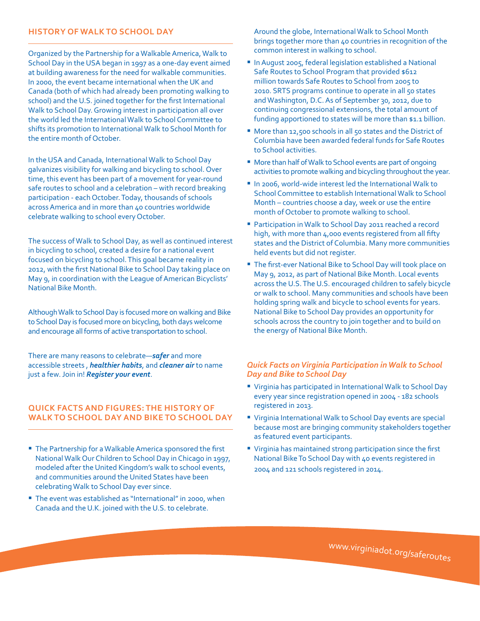#### **HISTORY OF WALK TO SCHOOL DAY**

Organized by the Partnership for a Walkable America, Walk to School Day in the USA began in 1997 as a one-day event aimed at building awareness for the need for walkable communities. In 2000, the event became international when the UK and Canada (both of which had already been promoting walking to school) and the U.S. joined together for the first International Walk to School Day. Growing interest in participation all over the world led the International Walk to School Committee to shifts its promotion to International Walk to School Month for the entire month of October.

In the USA and Canada, International Walk to School Day galvanizes visibility for walking and bicycling to school. Over time, this event has been part of a movement for year-round safe routes to school and a celebration – with record breaking participation - each October. Today, thousands of schools across America and in more than 40 countries worldwide celebrate walking to school every October.

The success of Walk to School Day, as well as continued interest in bicycling to school, created a desire for a national event focused on bicycling to school. This goal became reality in 2012, with the first National Bike to School Day taking place on May 9, in coordination with the League of American Bicyclists' National Bike Month.

Although Walk to School Day is focused more on walking and Bike to School Day is focused more on bicycling, both days welcome and encourage all forms of active transportation to school.

There are many reasons to celebrate—*[safer](http://www.walkbiketoschool.org/ready/why-walk-or-bike/promoting-safety)* and more accessible streets , *[healthier habits](http://www.walkbiketoschool.org/ready/why-walk-or-bike/healthier-habits)*, and *[cleaner air](http://www.walkbiketoschool.org/ready/why-walk-or-bike/cleaner-environment)* to name just a few. Join in! *[Register your event](http://www.walkbiketoschool.org/user/login?destination=node/add/event)*.

#### **QUICK FACTS AND FIGURES: THE HISTORY OF WALK TO SCHOOL DAY AND BIKE TO SCHOOL DAY**

- The Partnership for a Walkable America sponsored the first National Walk Our Children to School Day in Chicago in 1997, modeled after the United Kingdom's walk to school events, and communities around the United States have been celebrating Walk to School Day ever since.
- The event was established as "International" in 2000, when Canada and the U.K. joined with the U.S. to celebrate.

Around the globe, International Walk to School Month brings together more than 40 countries in recognition of the common interest in walking to school.

- In August 2005, federal legislation established a National Safe Routes to School Program that provided \$612 million towards Safe Routes to School from 2005 to 2010. SRTS programs continue to operate in all 50 states and Washington, D.C. As of September 30, 2012, due to continuing congressional extensions, the total amount of funding apportioned to states will be more than \$1.1 billion.
- More than 12,500 schools in all 50 states and the District of Columbia have been awarded federal funds for Safe Routes to School activities.
- More than half of Walk to School events are part of ongoing activities to promote walking and bicycling throughout the year.
- � In 2006, world-wide interest led the International Walk to School Committee to establish International Walk to School Month – countries choose a day, week or use the entire month of October to promote walking to school.
- Participation in Walk to School Day 2011 reached a record high, with more than 4,000 events registered from all fifty states and the District of Columbia. Many more communities held events but did not register.
- **The first-ever National Bike to School Day will took place on** May 9, 2012, as part of National Bike Month. Local events across the U.S. The U.S. encouraged children to safely bicycle or walk to school. Many communities and schools have been holding spring walk and bicycle to school events for years. National Bike to School Day provides an opportunity for schools across the country to join together and to build on the energy of National Bike Month.

#### *Quick Facts on Virginia Participation in Walk to School Day and Bike to School Day*

- � Virginia has participated in International Walk to School Day every year since registration opened in 2004 - 182 schools registered in 2013.
- Virginia International Walk to School Day events are special because most are bringing community stakeholders together as featured event participants.
- � Virginia has maintained strong participation since the first National Bike To School Day with 40 events registered in 2004 and 121 schools registered in 2014.